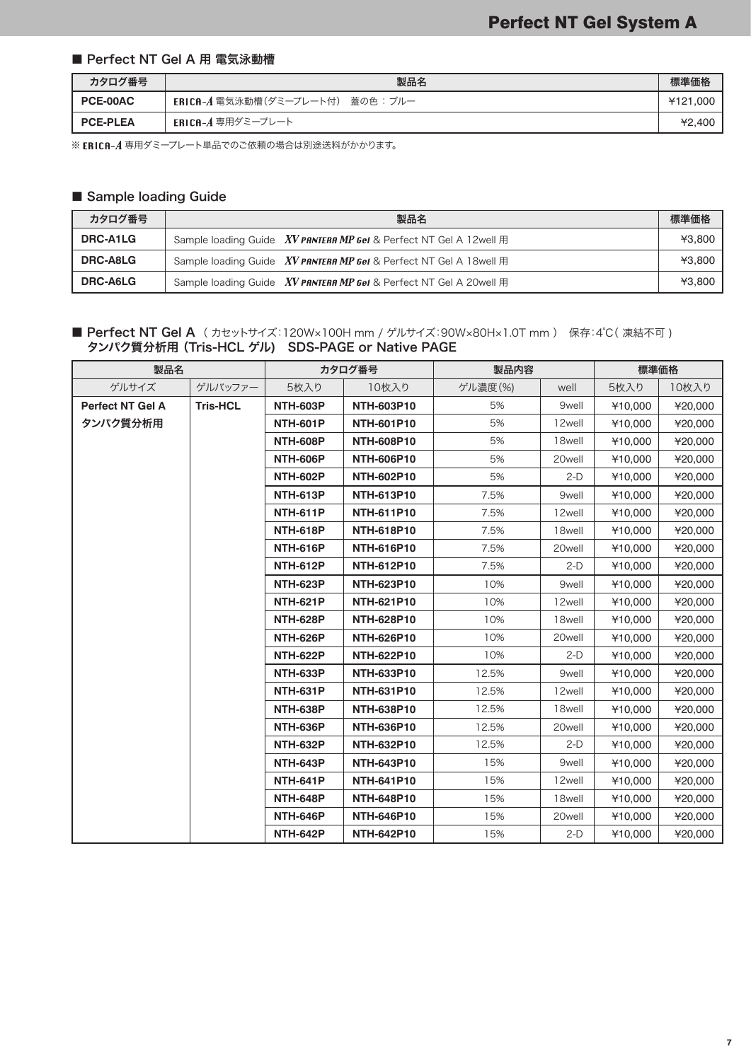#### ■ Perfect NT Gel A 用 電気泳動槽

| カタログ番号          | 製品名                               | 標準価格     |
|-----------------|-----------------------------------|----------|
| <b>PCE-00AC</b> | ERICA-A 電気泳動槽(ダミープレート付) 蓋の色 : ブルー | ¥121.000 |
| <b>PCE-PLEA</b> | ERICA-A 専用ダミープレート                 | 42.400   |

※ ERICA-A 専用ダミープレート単品でのご依頼の場合は別途送料がかかります。

## ■ Sample loading Guide

| カタログ番号          | 製品名                                                                            | 標準価格   |
|-----------------|--------------------------------------------------------------------------------|--------|
| DRC-A1LG        | Sample loading Guide $XV$ PANTERA MP GeI & Perfect NT GeI A 12 well $\boxplus$ | ¥3.800 |
| <b>DRC-A8LG</b> | Sample loading Guide XV PANTERA MP Gel & Perfect NT Gel A 18well 用             | ¥3.800 |
| <b>DRC-A6LG</b> | Sample loading Guide XV PANTERA MP Gel & Perfect NT Gel A 20well 用             | ¥3.800 |

#### ■ Perfect NT Gel A (カセットサイズ:120W×100H mm / ゲルサイズ:90W×80H×1.0T mm) 保存:4℃(凍結不可) タンパク質分析用(Tris-HCL ゲル) SDS-PAGE or Native PAGE

| 製品名                     |                 | カタログ番号          |                   | 製品内容    |                    | 標準価格    |         |
|-------------------------|-----------------|-----------------|-------------------|---------|--------------------|---------|---------|
| ゲルサイズ                   | ゲルバッファー         | 5枚入り            | 10枚入り             | ゲル濃度(%) | well               | 5枚入り    | 10枚入り   |
| <b>Perfect NT Gel A</b> | <b>Tris-HCL</b> | <b>NTH-603P</b> | <b>NTH-603P10</b> | 5%      | 9well              | ¥10,000 | ¥20,000 |
| タンパク質分析用                |                 | <b>NTH-601P</b> | <b>NTH-601P10</b> | 5%      | 12well             | ¥10.000 | ¥20,000 |
|                         |                 | <b>NTH-608P</b> | <b>NTH-608P10</b> | 5%      | 18well             | ¥10,000 | ¥20,000 |
|                         |                 | <b>NTH-606P</b> | <b>NTH-606P10</b> | 5%      | 20well             | ¥10,000 | ¥20,000 |
|                         |                 | <b>NTH-602P</b> | <b>NTH-602P10</b> | 5%      | $2-D$              | ¥10,000 | ¥20,000 |
|                         |                 | <b>NTH-613P</b> | <b>NTH-613P10</b> | 7.5%    | 9well              | ¥10,000 | ¥20,000 |
|                         |                 | <b>NTH-611P</b> | <b>NTH-611P10</b> | 7.5%    | 12well             | ¥10.000 | ¥20,000 |
|                         |                 | <b>NTH-618P</b> | <b>NTH-618P10</b> | 7.5%    | 18 <sub>well</sub> | ¥10,000 | ¥20,000 |
|                         |                 | <b>NTH-616P</b> | <b>NTH-616P10</b> | 7.5%    | 20well             | ¥10,000 | ¥20,000 |
|                         |                 | <b>NTH-612P</b> | NTH-612P10        | 7.5%    | $2-D$              | ¥10,000 | ¥20,000 |
|                         |                 | <b>NTH-623P</b> | <b>NTH-623P10</b> | 10%     | 9well              | ¥10,000 | ¥20,000 |
|                         |                 | <b>NTH-621P</b> | <b>NTH-621P10</b> | 10%     | 12well             | ¥10.000 | ¥20,000 |
|                         |                 | <b>NTH-628P</b> | <b>NTH-628P10</b> | 10%     | 18well             | ¥10,000 | ¥20,000 |
|                         |                 | <b>NTH-626P</b> | <b>NTH-626P10</b> | 10%     | 20well             | ¥10,000 | ¥20,000 |
|                         |                 | <b>NTH-622P</b> | <b>NTH-622P10</b> | 10%     | $2-D$              | ¥10,000 | ¥20,000 |
|                         |                 | <b>NTH-633P</b> | <b>NTH-633P10</b> | 12.5%   | 9well              | ¥10,000 | ¥20,000 |
|                         |                 | <b>NTH-631P</b> | <b>NTH-631P10</b> | 12.5%   | 12well             | ¥10.000 | ¥20,000 |
|                         |                 | <b>NTH-638P</b> | <b>NTH-638P10</b> | 12.5%   | 18well             | ¥10,000 | ¥20,000 |
|                         |                 | <b>NTH-636P</b> | <b>NTH-636P10</b> | 12.5%   | 20well             | ¥10,000 | ¥20,000 |
|                         |                 | <b>NTH-632P</b> | <b>NTH-632P10</b> | 12.5%   | $2-D$              | ¥10,000 | ¥20,000 |
|                         |                 | <b>NTH-643P</b> | <b>NTH-643P10</b> | 15%     | 9well              | ¥10,000 | ¥20,000 |
|                         |                 | <b>NTH-641P</b> | <b>NTH-641P10</b> | 15%     | 12well             | ¥10,000 | ¥20,000 |
|                         |                 | <b>NTH-648P</b> | <b>NTH-648P10</b> | 15%     | 18well             | ¥10,000 | ¥20,000 |
|                         |                 | <b>NTH-646P</b> | <b>NTH-646P10</b> | 15%     | 20well             | ¥10,000 | ¥20,000 |
|                         |                 | <b>NTH-642P</b> | <b>NTH-642P10</b> | 15%     | $2-D$              | ¥10,000 | ¥20,000 |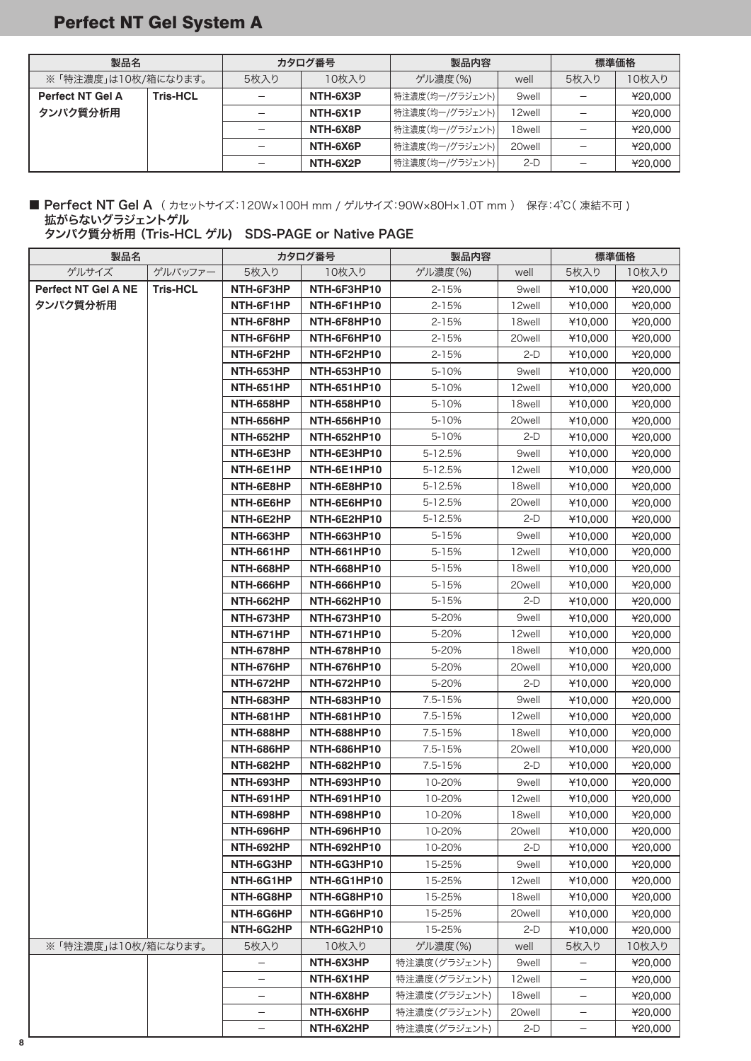# Perfect NT Gel System A

| 製品名                     |                 | カタログ番号 |          | 製品内容            |        | 標準価格 |         |
|-------------------------|-----------------|--------|----------|-----------------|--------|------|---------|
| ※「特注濃度」は10枚/箱になります。     |                 | 5枚入り   | 10枚入り    | ゲル濃度(%)         | well   | 5枚入り | 10枚入り   |
| <b>Perfect NT Gel A</b> | <b>Tris-HCL</b> |        | NTH-6X3P | 特注濃度(均一/グラジェント) | 9well  |      | ¥20,000 |
| タンパク質分析用                |                 |        | NTH-6X1P | 特注濃度(均一/グラジェント) | 12well |      | ¥20,000 |
|                         |                 |        | NTH-6X8P | 特注濃度(均一/グラジェント) | 18well |      | ¥20,000 |
|                         |                 |        | NTH-6X6P | 特注濃度(均一/グラジェント) | 20well |      | ¥20,000 |
|                         |                 |        | NTH-6X2P | 特注濃度(均一/グラジェント) | $2-D$  |      | ¥20,000 |

### ■ Perfect NT Gel A (カセットサイズ:120W×100H mm / ゲルサイズ:90W×80H×1.0T mm) 保存:4℃(凍結不可) 拡がらないグラジェントゲル

タンパク質分析用 (Tris-HCL ゲル) SDS-PAGE or Native PAGE

| 製品名                        |                 | カタログ番号           |                    | 製品内容         |        | 標準価格              |         |
|----------------------------|-----------------|------------------|--------------------|--------------|--------|-------------------|---------|
| ゲルサイズ                      | ゲルバッファー         | 5枚入り             | 10枚入り              | ゲル濃度(%)      | well   | 5枚入り              | 10枚入り   |
| <b>Perfect NT Gel A NE</b> | <b>Tris-HCL</b> | NTH-6F3HP        | NTH-6F3HP10        | $2 - 15%$    | 9well  | ¥10,000           | ¥20,000 |
| タンパク質分析用                   |                 | NTH-6F1HP        | NTH-6F1HP10        | $2 - 15%$    | 12well | ¥10,000           | ¥20,000 |
|                            |                 | NTH-6F8HP        | NTH-6F8HP10        | $2 - 15%$    | 18well | ¥10,000           | ¥20,000 |
|                            |                 | NTH-6F6HP        | NTH-6F6HP10        | $2 - 15%$    | 20well | ¥10,000           | 420,000 |
|                            |                 | NTH-6F2HP        | NTH-6F2HP10        | $2 - 15%$    | $2-D$  | ¥10,000           | ¥20,000 |
|                            |                 | <b>NTH-653HP</b> | <b>NTH-653HP10</b> | 5-10%        | 9well  | ¥10,000           | ¥20,000 |
|                            |                 | <b>NTH-651HP</b> | <b>NTH-651HP10</b> | 5-10%        | 12well | ¥10,000           | ¥20,000 |
|                            |                 | <b>NTH-658HP</b> | <b>NTH-658HP10</b> | 5-10%        | 18well | ¥10,000           | ¥20,000 |
|                            |                 | <b>NTH-656HP</b> | <b>NTH-656HP10</b> | 5-10%        | 20well | ¥10,000           | ¥20,000 |
|                            |                 | <b>NTH-652HP</b> | <b>NTH-652HP10</b> | 5-10%        | 2-D    | ¥10,000           | ¥20,000 |
|                            |                 | NTH-6E3HP        | NTH-6E3HP10        | 5-12.5%      | 9well  | ¥10,000           | ¥20,000 |
|                            |                 | NTH-6E1HP        | NTH-6E1HP10        | 5-12.5%      | 12well | ¥10,000           | ¥20,000 |
|                            |                 | NTH-6E8HP        | NTH-6E8HP10        | 5-12.5%      | 18well | ¥10,000           | ¥20,000 |
|                            |                 | NTH-6E6HP        | NTH-6E6HP10        | 5-12.5%      | 20well | ¥10,000           | ¥20,000 |
|                            |                 | NTH-6E2HP        | NTH-6E2HP10        | 5-12.5%      | $2-D$  | ¥10,000           | ¥20,000 |
|                            |                 | NTH-663HP        | <b>NTH-663HP10</b> | 5-15%        | 9well  | ¥10,000           | ¥20,000 |
|                            |                 | <b>NTH-661HP</b> | <b>NTH-661HP10</b> | $5 - 15%$    | 12well | ¥10,000           | ¥20,000 |
|                            |                 | <b>NTH-668HP</b> | <b>NTH-668HP10</b> | 5-15%        | 18well | ¥10,000           | ¥20,000 |
|                            |                 | NTH-666HP        | <b>NTH-666HP10</b> | 5-15%        | 20well | ¥10,000           | ¥20,000 |
|                            |                 | <b>NTH-662HP</b> | <b>NTH-662HP10</b> | 5-15%        | 2-D    | ¥10,000           | ¥20,000 |
|                            |                 | NTH-673HP        | <b>NTH-673HP10</b> | 5-20%        | 9well  | ¥10,000           | ¥20,000 |
|                            |                 | NTH-671HP        | <b>NTH-671HP10</b> | 5-20%        | 12well | ¥10,000           | ¥20,000 |
|                            |                 | NTH-678HP        | <b>NTH-678HP10</b> | 5-20%        | 18well | ¥10,000           | ¥20,000 |
|                            |                 | NTH-676HP        | <b>NTH-676HP10</b> | 5-20%        | 20well | ¥10,000           | ¥20,000 |
|                            |                 | NTH-672HP        | <b>NTH-672HP10</b> | 5-20%        | $2-D$  | ¥10,000           | ¥20,000 |
|                            |                 | <b>NTH-683HP</b> | <b>NTH-683HP10</b> | $7.5 - 15%$  | 9well  | ¥10,000           | ¥20,000 |
|                            |                 | <b>NTH-681HP</b> | <b>NTH-681HP10</b> | 7.5-15%      | 12well | ¥10,000           | ¥20,000 |
|                            |                 | <b>NTH-688HP</b> | <b>NTH-688HP10</b> | 7.5-15%      | 18well | ¥10,000           | ¥20,000 |
|                            |                 | <b>NTH-686HP</b> | <b>NTH-686HP10</b> | $7.5 - 15%$  | 20well | ¥10,000           | ¥20,000 |
|                            |                 | <b>NTH-682HP</b> | <b>NTH-682HP10</b> | 7.5-15%      | $2-D$  | ¥10,000           | ¥20,000 |
|                            |                 | NTH-693HP        | <b>NTH-693HP10</b> | 10-20%       | 9well  | ¥10,000           | ¥20,000 |
|                            |                 | NTH-691HP        | <b>NTH-691HP10</b> | 10-20%       | 12well | ¥10,000           | 420,000 |
|                            |                 | NTH-698HP        | NTH-698HP10        | 10-20%       | 18well | ¥10,000           | ¥20,000 |
|                            |                 | NTH-696HP        | <b>NTH-696HP10</b> | 10-20%       | 20well | ¥10,000           | ¥20,000 |
|                            |                 | NTH-692HP        | <b>NTH-692HP10</b> | 10-20%       | $2-D$  | ¥10,000           | ¥20,000 |
|                            |                 | NTH-6G3HP        | NTH-6G3HP10        | 15-25%       | 9well  | ¥10,000           | ¥20,000 |
|                            |                 | NTH-6G1HP        | NTH-6G1HP10        | 15-25%       | 12well | ¥10,000           | ¥20,000 |
|                            |                 | NTH-6G8HP        | NTH-6G8HP10        | 15-25%       | 18well | ¥10,000           | ¥20,000 |
|                            |                 | NTH-6G6HP        | NTH-6G6HP10        | 15-25%       | 20well | ¥10,000           | ¥20,000 |
|                            |                 | NTH-6G2HP        | NTH-6G2HP10        | 15-25%       | $2-D$  | ¥10,000           | ¥20,000 |
| ※ 「特注濃度」は10枚/箱になります。       |                 | 5枚入り             | 10枚入り              | ゲル濃度(%)      | well   | 5枚入り              | 10枚入り   |
|                            |                 |                  | NTH-6X3HP          | 特注濃度(グラジェント) | 9well  |                   | ¥20,000 |
|                            |                 |                  | NTH-6X1HP          | 特注濃度(グラジェント) | 12well |                   | ¥20,000 |
|                            |                 |                  | NTH-6X8HP          | 特注濃度(グラジェント) | 18well |                   | ¥20,000 |
|                            |                 |                  | NTH-6X6HP          | 特注濃度(グラジェント) | 20well | —                 | ¥20,000 |
|                            |                 | -                | NTH-6X2HP          | 特注濃度(グラジェント) | $2-D$  | $\qquad \qquad -$ | ¥20,000 |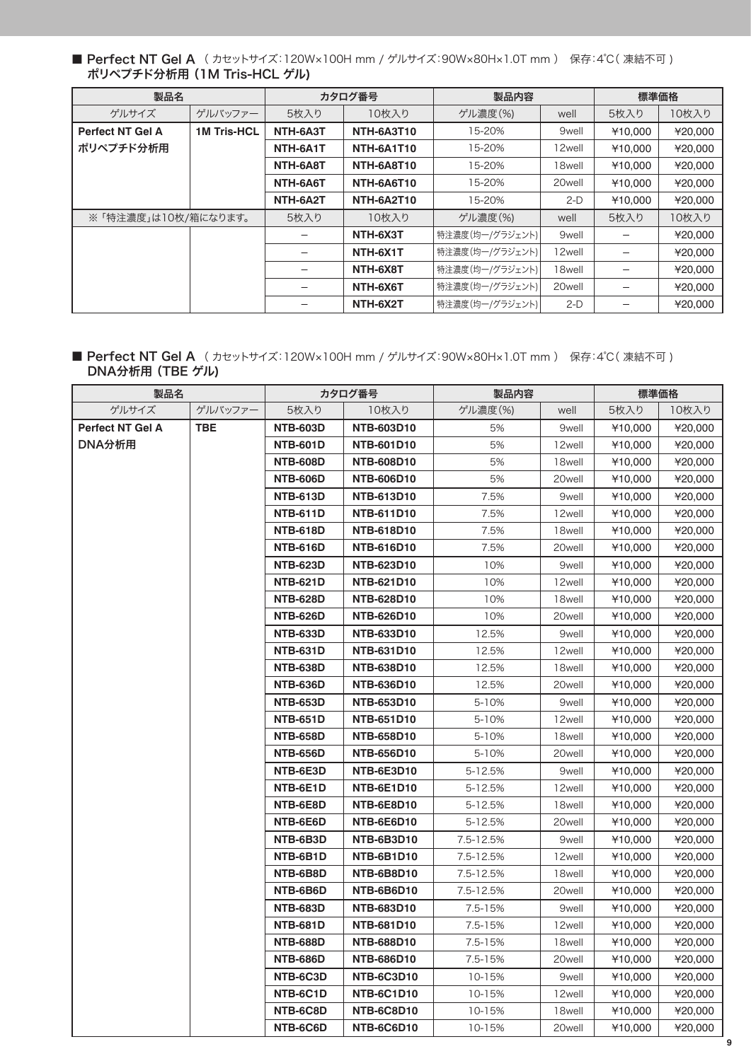■ Perfect NT Gel A (カセットサイズ:120W×100H mm / ゲルサイズ:90W×80H×1.0T mm) 保存:4℃(凍結不可) ポリペプチド分析用 (1M Tris-HCL ゲル)

| 製品名                     |                    | カタログ番号   |                   | 製品内容            |                   | 標準価格    |         |
|-------------------------|--------------------|----------|-------------------|-----------------|-------------------|---------|---------|
| ゲルサイズ                   | ゲルバッファー            | 5枚入り     | 10枚入り             | ゲル濃度(%)         | well              | 5枚入り    | 10枚入り   |
| <b>Perfect NT Gel A</b> | <b>1M Tris-HCL</b> | NTH-6A3T | <b>NTH-6A3T10</b> | 15-20%          | 9 <sub>well</sub> | ¥10,000 | ¥20,000 |
| ポリペプチド分析用               |                    | NTH-6A1T | NTH-6A1T10        | 15-20%          | 12well            | ¥10,000 | ¥20,000 |
|                         |                    | NTH-6A8T | NTH-6A8T10        | 15-20%          | 18well            | ¥10,000 | ¥20,000 |
|                         |                    | NTH-6A6T | NTH-6A6T10        | 15-20%          | 20well            | ¥10,000 | ¥20,000 |
|                         |                    | NTH-6A2T | <b>NTH-6A2T10</b> | 15-20%          | $2-D$             | ¥10,000 | ¥20,000 |
| ※「特注濃度」は10枚/箱になります。     |                    | 5枚入り     | 10枚入り             | ゲル濃度(%)         | well              | 5枚入り    | 10枚入り   |
|                         |                    |          | NTH-6X3T          | 特注濃度(均一/グラジェント) | 9 <sub>well</sub> |         | ¥20,000 |
|                         |                    |          | NTH-6X1T          | 特注濃度(均一/グラジェント) | 12well            |         | ¥20,000 |
|                         |                    |          | NTH-6X8T          | 特注濃度(均一/グラジェント) | 18well            |         | ¥20,000 |
|                         |                    |          | NTH-6X6T          | 特注濃度(均一/グラジェント) | 20well            |         | ¥20,000 |
|                         |                    |          | NTH-6X2T          | 特注濃度(均一/グラジェント) | $2-D$             |         | ¥20,000 |

■ Perfect NT Gel A (カセットサイズ:120W×100H mm / ゲルサイズ:90W×80H×1.0T mm) 保存:4℃(凍結不可) DNA分析用 (TBE ゲル)

| 製品名              |         | カタログ番号          |                   | 製品内容      |        | 標準価格    |         |
|------------------|---------|-----------------|-------------------|-----------|--------|---------|---------|
| ゲルサイズ            | ゲルバッファー | 5枚入り            | 10枚入り             | ゲル濃度(%)   | well   | 5枚入り    | 10枚入り   |
| Perfect NT Gel A | TBE.    | <b>NTB-603D</b> | <b>NTB-603D10</b> | 5%        | 9well  | ¥10,000 | ¥20,000 |
| DNA分析用           |         | <b>NTB-601D</b> | <b>NTB-601D10</b> | 5%        | 12well | ¥10,000 | ¥20,000 |
|                  |         | <b>NTB-608D</b> | <b>NTB-608D10</b> | 5%        | 18well | ¥10,000 | ¥20,000 |
|                  |         | <b>NTB-606D</b> | <b>NTB-606D10</b> | 5%        | 20well | ¥10,000 | ¥20,000 |
|                  |         | <b>NTB-613D</b> | <b>NTB-613D10</b> | 7.5%      | 9well  | ¥10,000 | ¥20,000 |
|                  |         | <b>NTB-611D</b> | NTB-611D10        | 7.5%      | 12well | ¥10,000 | ¥20,000 |
|                  |         | <b>NTB-618D</b> | <b>NTB-618D10</b> | 7.5%      | 18well | ¥10,000 | ¥20,000 |
|                  |         | <b>NTB-616D</b> | <b>NTB-616D10</b> | 7.5%      | 20well | 410,000 | ¥20,000 |
|                  |         | <b>NTB-623D</b> | <b>NTB-623D10</b> | 10%       | 9well  | ¥10,000 | ¥20,000 |
|                  |         | <b>NTB-621D</b> | <b>NTB-621D10</b> | 10%       | 12well | ¥10,000 | ¥20,000 |
|                  |         | <b>NTB-628D</b> | <b>NTB-628D10</b> | 10%       | 18well | ¥10,000 | ¥20,000 |
|                  |         | <b>NTB-626D</b> | <b>NTB-626D10</b> | 10%       | 20well | ¥10,000 | ¥20,000 |
|                  |         | <b>NTB-633D</b> | NTB-633D10        | 12.5%     | 9well  | ¥10,000 | ¥20,000 |
|                  |         | <b>NTB-631D</b> | <b>NTB-631D10</b> | 12.5%     | 12well | ¥10,000 | ¥20,000 |
|                  |         | <b>NTB-638D</b> | <b>NTB-638D10</b> | 12.5%     | 18well | ¥10,000 | ¥20,000 |
|                  |         | <b>NTB-636D</b> | <b>NTB-636D10</b> | 12.5%     | 20well | ¥10,000 | ¥20,000 |
|                  |         | <b>NTB-653D</b> | <b>NTB-653D10</b> | 5-10%     | 9well  | ¥10,000 | ¥20,000 |
|                  |         | <b>NTB-651D</b> | <b>NTB-651D10</b> | 5-10%     | 12well | ¥10,000 | ¥20,000 |
|                  |         | <b>NTB-658D</b> | <b>NTB-658D10</b> | 5-10%     | 18well | ¥10,000 | ¥20,000 |
|                  |         | <b>NTB-656D</b> | <b>NTB-656D10</b> | 5-10%     | 20well | ¥10,000 | ¥20,000 |
|                  |         | NTB-6E3D        | NTB-6E3D10        | 5-12.5%   | 9well  | ¥10,000 | ¥20,000 |
|                  |         | NTB-6E1D        | NTB-6E1D10        | 5-12.5%   | 12well | 410,000 | ¥20,000 |
|                  |         | NTB-6E8D        | NTB-6E8D10        | 5-12.5%   | 18well | ¥10,000 | ¥20,000 |
|                  |         | NTB-6E6D        | NTB-6E6D10        | 5-12.5%   | 20well | ¥10,000 | ¥20,000 |
|                  |         | NTB-6B3D        | <b>NTB-6B3D10</b> | 7.5-12.5% | 9well  | ¥10,000 | ¥20,000 |
|                  |         | NTB-6B1D        | NTB-6B1D10        | 7.5-12.5% | 12well | ¥10,000 | ¥20,000 |
|                  |         | NTB-6B8D        | NTB-6B8D10        | 7.5-12.5% | 18well | ¥10,000 | ¥20,000 |
|                  |         | NTB-6B6D        | NTB-6B6D10        | 7.5-12.5% | 20well | ¥10,000 | ¥20,000 |
|                  |         | <b>NTB-683D</b> | <b>NTB-683D10</b> | 7.5-15%   | 9well  | ¥10,000 | ¥20,000 |
|                  |         | <b>NTB-681D</b> | <b>NTB-681D10</b> | 7.5-15%   | 12well | ¥10,000 | ¥20,000 |
|                  |         | <b>NTB-688D</b> | <b>NTB-688D10</b> | 7.5-15%   | 18well | ¥10,000 | ¥20,000 |
|                  |         | <b>NTB-686D</b> | <b>NTB-686D10</b> | 7.5-15%   | 20well | ¥10,000 | ¥20,000 |
|                  |         | NTB-6C3D        | NTB-6C3D10        | 10-15%    | 9well  | ¥10,000 | ¥20,000 |
|                  |         | NTB-6C1D        | NTB-6C1D10        | 10-15%    | 12well | ¥10,000 | ¥20,000 |
|                  |         | NTB-6C8D        | NTB-6C8D10        | 10-15%    | 18well | ¥10,000 | ¥20,000 |
|                  |         | NTB-6C6D        | NTB-6C6D10        | 10-15%    | 20well | ¥10,000 | ¥20,000 |